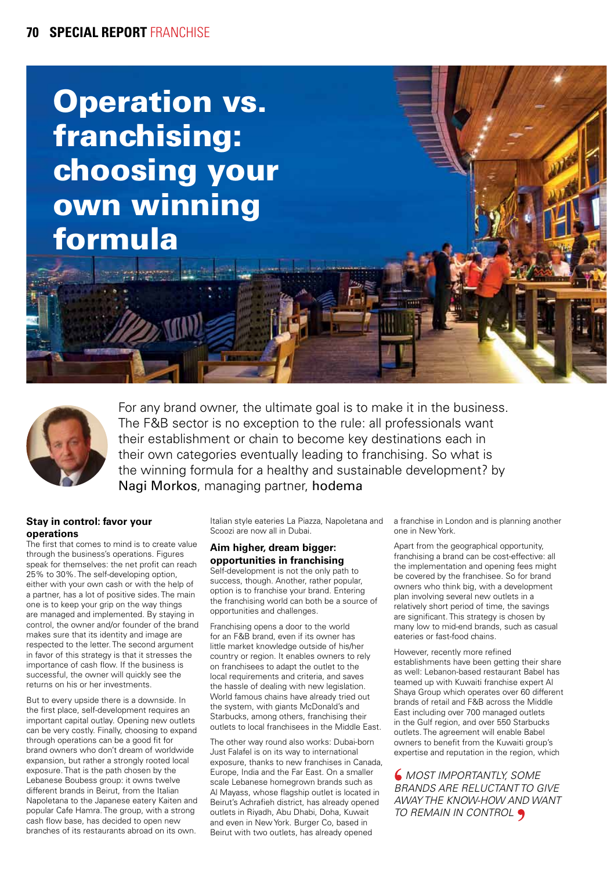# Operation vs. franchising: choosing your own winning formula



For any brand owner, the ultimate goal is to make it in the business. The F&B sector is no exception to the rule: all professionals want their establishment or chain to become key destinations each in their own categories eventually leading to franchising. So what is the winning formula for a healthy and sustainable development? by Nagi Morkos, managing partner, hodema

## **Stay in control: favor your operations**

The first that comes to mind is to create value through the business's operations. Figures speak for themselves: the net profit can reach 25% to 30%. The self-developing option, either with your own cash or with the help of a partner, has a lot of positive sides. The main one is to keep your grip on the way things are managed and implemented. By staying in control, the owner and/or founder of the brand makes sure that its identity and image are respected to the letter. The second argument in favor of this strategy is that it stresses the importance of cash flow. If the business is successful, the owner will quickly see the returns on his or her investments.

But to every upside there is a downside. In the first place, self-development requires an important capital outlay. Opening new outlets can be very costly. Finally, choosing to expand through operations can be a good fit for brand owners who don't dream of worldwide expansion, but rather a strongly rooted local exposure. That is the path chosen by the Lebanese Boubess group: it owns twelve different brands in Beirut, from the Italian Napoletana to the Japanese eatery Kaiten and popular Cafe Hamra. The group, with a strong cash flow base, has decided to open new branches of its restaurants abroad on its own.

Italian style eateries La Piazza, Napoletana and Scoozi are now all in Dubai.

## **Aim higher, dream bigger: opportunities in franchising**

Self-development is not the only path to success, though. Another, rather popular, option is to franchise your brand. Entering the franchising world can both be a source of opportunities and challenges.

Franchising opens a door to the world for an F&B brand, even if its owner has little market knowledge outside of his/her country or region. It enables owners to rely on franchisees to adapt the outlet to the local requirements and criteria, and saves the hassle of dealing with new legislation. World famous chains have already tried out the system, with giants McDonald's and Starbucks, among others, franchising their outlets to local franchisees in the Middle East.

The other way round also works: Dubai-born Just Falafel is on its way to international exposure, thanks to new franchises in Canada, Europe, India and the Far East. On a smaller scale Lebanese homegrown brands such as Al Mayass, whose flagship outlet is located in Beirut's Achrafieh district, has already opened outlets in Riyadh, Abu Dhabi, Doha, Kuwait and even in New York. Burger Co, based in Beirut with two outlets, has already opened

a franchise in London and is planning another one in New York.

Apart from the geographical opportunity, franchising a brand can be cost-effective: all the implementation and opening fees might be covered by the franchisee. So for brand owners who think big, with a development plan involving several new outlets in a relatively short period of time, the savings are significant. This strategy is chosen by many low to mid-end brands, such as casual eateries or fast-food chains.

However, recently more refined establishments have been getting their share as well: Lebanon-based restaurant Babel has teamed up with Kuwaiti franchise expert Al Shaya Group which operates over 60 different brands of retail and F&B across the Middle East including over 700 managed outlets in the Gulf region, and over 550 Starbucks outlets. The agreement will enable Babel owners to benefit from the Kuwaiti group's expertise and reputation in the region, which

 *MOST IMPORTANTLY, SOME BRANDS ARE RELUCTANT TO GIVE AWAY THE KNOW-HOW AND WANT TO REMAIN IN CONTROL*